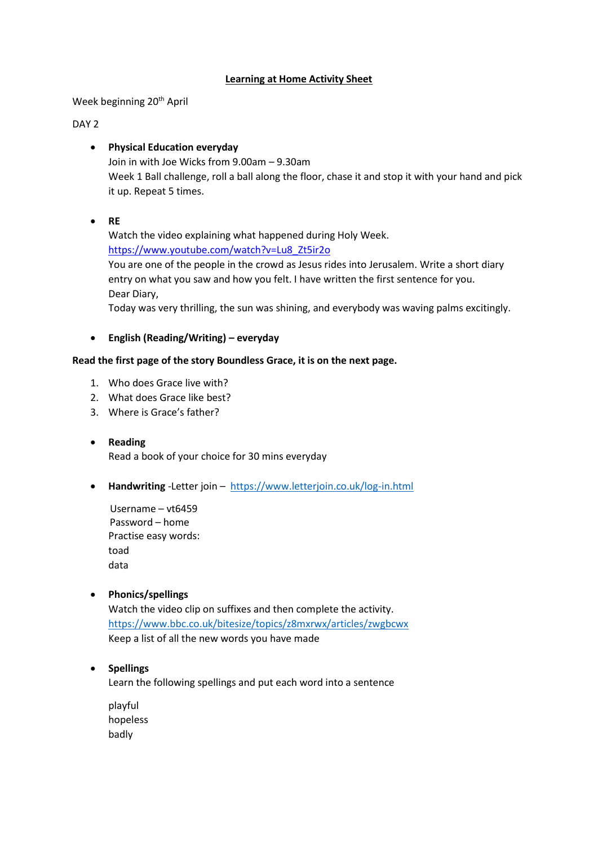#### **Learning at Home Activity Sheet**

Week beginning 20<sup>th</sup> April

## DAY 2

## **Physical Education everyday**

Join in with Joe Wicks from 9.00am – 9.30am Week 1 Ball challenge, roll a ball along the floor, chase it and stop it with your hand and pick it up. Repeat 5 times.

**RE**

Watch the video explaining what happened during Holy Week. [https://www.youtube.com/watch?v=Lu8\\_Zt5ir2o](https://www.youtube.com/watch?v=Lu8_Zt5ir2o) You are one of the people in the crowd as Jesus rides into Jerusalem. Write a short diary entry on what you saw and how you felt. I have written the first sentence for you. Dear Diary,

Today was very thrilling, the sun was shining, and everybody was waving palms excitingly.

## **English (Reading/Writing) – everyday**

#### **Read the first page of the story Boundless Grace, it is on the next page.**

- 1. Who does Grace live with?
- 2. What does Grace like best?
- 3. Where is Grace's father?
- **Reading**

Read a book of your choice for 30 mins everyday

**Handwriting** -Letter join –<https://www.letterjoin.co.uk/log-in.html>

 Username – vt6459 Password – home Practise easy words: toad data

**Phonics/spellings**

Watch the video clip on suffixes and then complete the activity. <https://www.bbc.co.uk/bitesize/topics/z8mxrwx/articles/zwgbcwx> Keep a list of all the new words you have made

**Spellings**

Learn the following spellings and put each word into a sentence

playful hopeless badly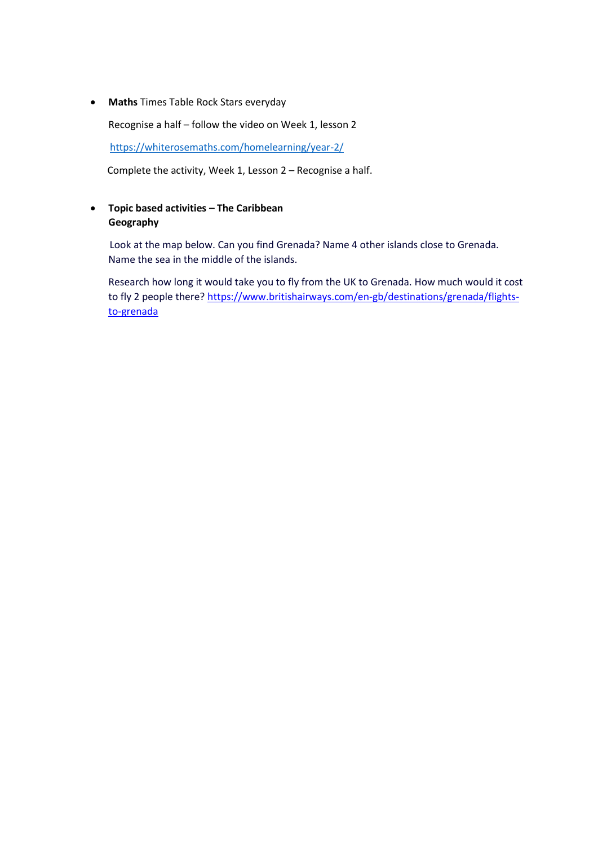**Maths** Times Table Rock Stars everyday

Recognise a half – follow the video on Week 1, lesson 2

<https://whiterosemaths.com/homelearning/year-2/>

Complete the activity, Week 1, Lesson 2 – Recognise a half.

# **Topic based activities – The Caribbean Geography**

Look at the map below. Can you find Grenada? Name 4 other islands close to Grenada. Name the sea in the middle of the islands.

Research how long it would take you to fly from the UK to Grenada. How much would it cost to fly 2 people there[? https://www.britishairways.com/en-gb/destinations/grenada/flights](https://www.britishairways.com/en-gb/destinations/grenada/flights-to-grenada)[to-grenada](https://www.britishairways.com/en-gb/destinations/grenada/flights-to-grenada)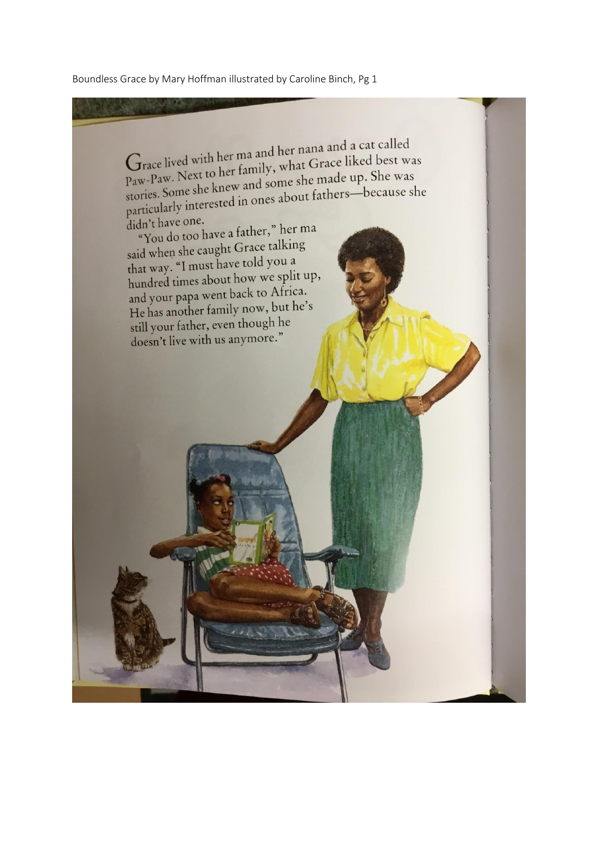Boundless Grace by Mary Hoffman illustrated by Caroline Binch, Pg 1